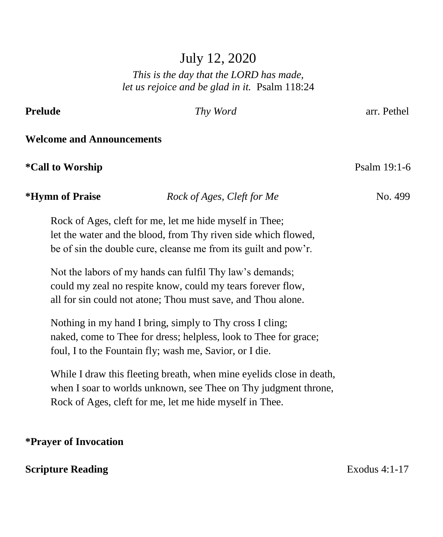## July 12, 2020

#### *This is the day that the LORD has made, let us rejoice and be glad in it.* Psalm 118:24

# **Prelude** *Thy Word* arr. Pethel **Welcome and Announcements \*Call to Worship** Psalm 19:1-6 *\*Hymn of Praise Rock of Ages, Cleft for Me* **No. 499** Rock of Ages, cleft for me, let me hide myself in Thee; let the water and the blood, from Thy riven side which flowed, be of sin the double cure, cleanse me from its guilt and pow'r. Not the labors of my hands can fulfil Thy law's demands; could my zeal no respite know, could my tears forever flow, all for sin could not atone; Thou must save, and Thou alone. Nothing in my hand I bring, simply to Thy cross I cling; naked, come to Thee for dress; helpless, look to Thee for grace; foul, I to the Fountain fly; wash me, Savior, or I die. While I draw this fleeting breath, when mine eyelids close in death, when I soar to worlds unknown, see Thee on Thy judgment throne, Rock of Ages, cleft for me, let me hide myself in Thee.

#### **\*Prayer of Invocation**

#### **Scripture Reading Exodus 4:1-17**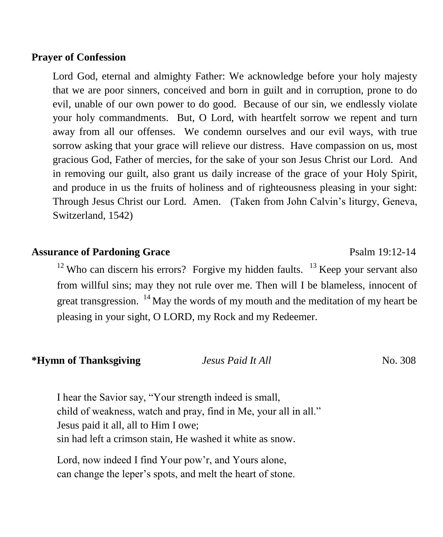#### **Prayer of Confession**

Lord God, eternal and almighty Father: We acknowledge before your holy majesty that we are poor sinners, conceived and born in guilt and in corruption, prone to do evil, unable of our own power to do good. Because of our sin, we endlessly violate your holy commandments. But, O Lord, with heartfelt sorrow we repent and turn away from all our offenses. We condemn ourselves and our evil ways, with true sorrow asking that your grace will relieve our distress. Have compassion on us, most gracious God, Father of mercies, for the sake of your son Jesus Christ our Lord. And in removing our guilt, also grant us daily increase of the grace of your Holy Spirit, and produce in us the fruits of holiness and of righteousness pleasing in your sight: Through Jesus Christ our Lord. Amen. (Taken from John Calvin's liturgy, Geneva, Switzerland, 1542)

#### **Assurance of Pardoning Grace** Psalm 19:12-14

 $12$  Who can discern his errors? Forgive my hidden faults.  $13$  Keep your servant also from willful sins; may they not rule over me. Then will I be blameless, innocent of great transgression.  $14$  May the words of my mouth and the meditation of my heart be pleasing in your sight, O LORD, my Rock and my Redeemer.

#### **\*Hymn of Thanksgiving** *Jesus Paid It All* **<b>***Designal It All No. 308*

I hear the Savior say, "Your strength indeed is small, child of weakness, watch and pray, find in Me, your all in all." Jesus paid it all, all to Him I owe; sin had left a crimson stain, He washed it white as snow.

Lord, now indeed I find Your pow'r, and Yours alone, can change the leper's spots, and melt the heart of stone.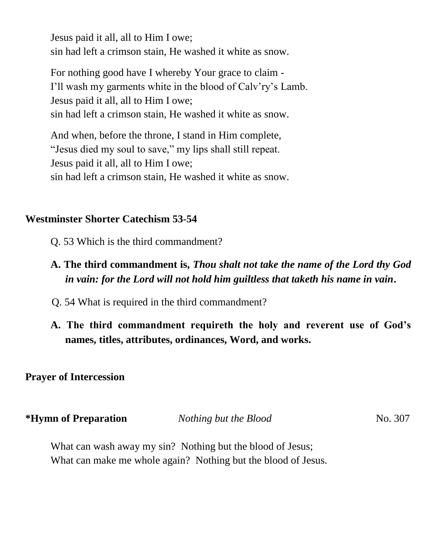Jesus paid it all, all to Him I owe; sin had left a crimson stain, He washed it white as snow.

For nothing good have I whereby Your grace to claim - I'll wash my garments white in the blood of Calv'ry's Lamb. Jesus paid it all, all to Him I owe; sin had left a crimson stain, He washed it white as snow.

And when, before the throne, I stand in Him complete, "Jesus died my soul to save," my lips shall still repeat. Jesus paid it all, all to Him I owe; sin had left a crimson stain, He washed it white as snow.

#### **Westminster Shorter Catechism 53-54**

- Q. 53 Which is the third commandment?
- **A. The third commandment is,** *Thou shalt not take the name of the Lord thy God in vain: for the Lord will not hold him guiltless that taketh his name in vain***.**
- Q. 54 What is required in the third commandment?
- **A. The third commandment requireth the holy and reverent use of God's names, titles, attributes, ordinances, Word, and works.**

#### **Prayer of Intercession**

| *Hymn of Preparation | Nothing but the Blood | No. 307 |
|----------------------|-----------------------|---------|
|                      |                       |         |

What can wash away my sin? Nothing but the blood of Jesus; What can make me whole again? Nothing but the blood of Jesus.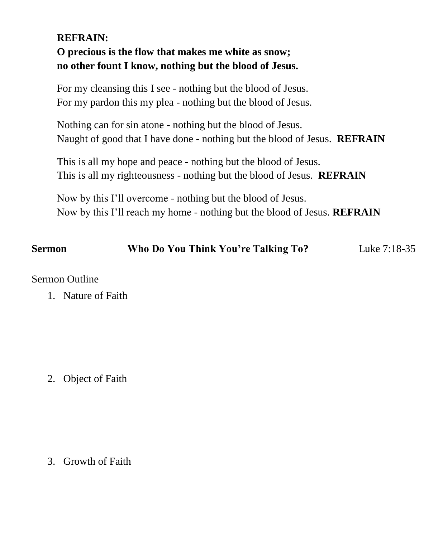### **REFRAIN: O precious is the flow that makes me white as snow; no other fount I know, nothing but the blood of Jesus.**

For my cleansing this I see - nothing but the blood of Jesus. For my pardon this my plea - nothing but the blood of Jesus.

Nothing can for sin atone - nothing but the blood of Jesus. Naught of good that I have done - nothing but the blood of Jesus. **REFRAIN**

This is all my hope and peace - nothing but the blood of Jesus. This is all my righteousness - nothing but the blood of Jesus. **REFRAIN**

Now by this I'll overcome - nothing but the blood of Jesus. Now by this I'll reach my home - nothing but the blood of Jesus. **REFRAIN**

#### **Sermon Who Do You Think You're Talking To?** Luke 7:18-35

#### Sermon Outline

1. Nature of Faith

2. Object of Faith

3. Growth of Faith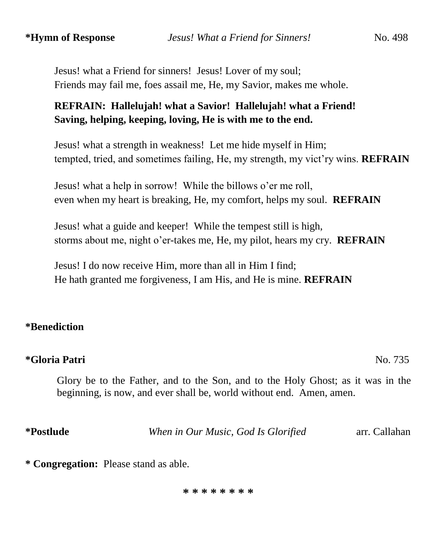Jesus! what a Friend for sinners! Jesus! Lover of my soul; Friends may fail me, foes assail me, He, my Savior, makes me whole.

#### **REFRAIN: Hallelujah! what a Savior! Hallelujah! what a Friend! Saving, helping, keeping, loving, He is with me to the end.**

 Jesus! what a strength in weakness! Let me hide myself in Him; tempted, tried, and sometimes failing, He, my strength, my vict'ry wins. **REFRAIN**

 Jesus! what a help in sorrow! While the billows o'er me roll, even when my heart is breaking, He, my comfort, helps my soul. **REFRAIN**

 Jesus! what a guide and keeper! While the tempest still is high, storms about me, night o'er-takes me, He, my pilot, hears my cry. **REFRAIN**

 Jesus! I do now receive Him, more than all in Him I find; He hath granted me forgiveness, I am His, and He is mine. **REFRAIN**

#### **\*Benediction**

#### **\*Gloria Patri** No. 735

Glory be to the Father, and to the Son, and to the Holy Ghost; as it was in the beginning, is now, and ever shall be, world without end. Amen, amen.

**\*Postlude** *When in Our Music, God Is Glorified* arr. Callahan

**\* Congregation:** Please stand as able.

#### **\* \* \* \* \* \* \* \***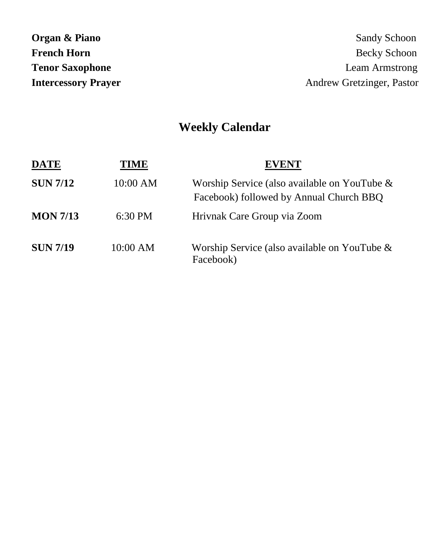| Organ & Piano              |
|----------------------------|
| <b>French Horn</b>         |
| <b>Tenor Saxophone</b>     |
| <b>Intercessory Prayer</b> |

# **Weekly Calendar**

| <b>DATE</b>     | TIME     | <b>EVENT</b>                                                                               |
|-----------------|----------|--------------------------------------------------------------------------------------------|
| <b>SUN 7/12</b> | 10:00 AM | Worship Service (also available on YouTube $\&$<br>Facebook) followed by Annual Church BBQ |
| <b>MON 7/13</b> | 6:30 PM  | Hrivnak Care Group via Zoom                                                                |
| <b>SUN 7/19</b> | 10:00 AM | Worship Service (also available on YouTube $\&$<br>Facebook)                               |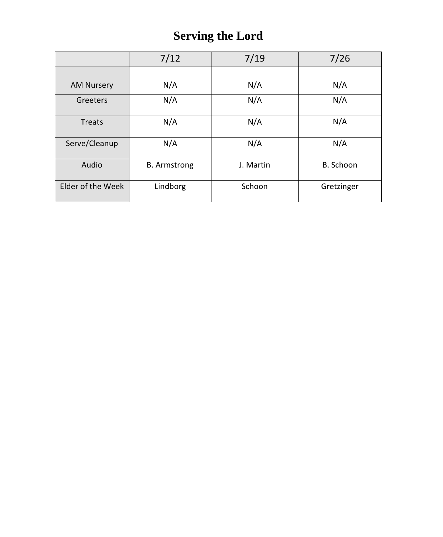# **Serving the Lord**

|                   | 7/12                | 7/19      | 7/26       |
|-------------------|---------------------|-----------|------------|
|                   |                     |           |            |
| <b>AM Nursery</b> | N/A                 | N/A       | N/A        |
| Greeters          | N/A                 | N/A       | N/A        |
| <b>Treats</b>     | N/A                 | N/A       | N/A        |
| Serve/Cleanup     | N/A                 | N/A       | N/A        |
| Audio             | <b>B.</b> Armstrong | J. Martin | B. Schoon  |
| Elder of the Week | Lindborg            | Schoon    | Gretzinger |